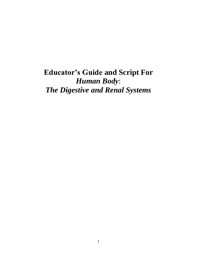# **Educator's Guide and Script For** *Human Body*: *The Digestive and Renal Systems*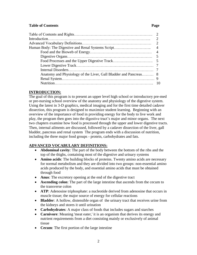# **Table of Contents Page 2018**

| Anatomy and Physiology of the Liver, Gall Bladder and Pancreas 8 |  |
|------------------------------------------------------------------|--|
|                                                                  |  |
|                                                                  |  |

# **INTRODUCTION:**

The goal of this program is to present an upper level high school or introductory pre-med or pre-nursing school overview of the anatomy and physiology of the digestive system. Using the latest in 3-D graphics, medical imaging and for the first time detailed cadaver dissection, this program is designed to maximize student learning. Beginning with an overview of the importance of food in providing energy for the body to live work and play, the program then goes into the digestive tract's major and minor organs. The next two chapters examine how food is processed through the upper and lower digestive tracts. Then, internal ailments are discussed, followed by a cadaver dissection of the liver, gall bladder, pancreas and renal system The program ends with a discussion of nutrition, including the three major food groups - protein, carbohydrates and fats.

# **ADVANCED VOCABULARY DEFINITIONS:**

- **Abdominal cavity**: The part of the body between the bottom of the ribs and the top of the thighs, containing most of the digestive and urinary systems
- **Amino acids**: The building blocks of proteins. Twenty amino acids are necessary for normal metabolism and they are divided into two groups: non-essential amino acids produced by the body, and essential amino acids that must be obtained through food
- **Anus**: The excretory opening at the end of the digestive tract
- **Ascending colon**: The part of the large intestine that ascends from the cecum to the transverse colon
- **ATP**: Adenosine triphosphate: a nucleotide derived from adenosine that occurs in muscle tissue; the major source of energy for cellular reactions
- **Bladder**: A hollow, distensible organ of the urinary tract that receives urine from the kidneys and stores it until urination
- **Carbohydrates**: A major class of foods that includes sugars and starches
- **Carnivore**: Meaning 'meat eater,' it is an organism that derives its energy and nutrient requirements from a diet consisting mainly or exclusively of animal tissue
- **Cecum**: The first portion of the large intestine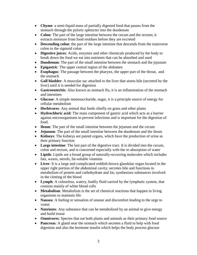- **Chyme**: a semi-liquid mass of partially digested food that passes from the stomach through the pyloric sphincter into the duodenum
- **Colon**: The part of the large intestine between the cecum and the rectum; it extracts moisture from food residues before they are excreted
- **Descending colon**: the part of the large intestine that descends from the transverse colon to the sigmoid colon
- **Digestive juices**: Acids, enzymes and other chemicals produced by the body to break down the food we eat into nutrients that can be absorbed and used
- **Duodenum**: The part of the small intestine between the stomach and the jejunum
- **Epigastric**: The upper central region of the abdomen
- **Esophagus**: The passage between the pharynx, the upper part of the throat, and the stomach
- **Gall bladder**: A muscular sac attached to the liver that stores bile (secreted by the liver) until it is needed for digestion
- **Gastroenteritis**: Also known as stomach flu, it is an inflammation of the stomach and intestines
- **Glucose**: A simple monosaccharide, sugar, it is a principle source of energy for cellular metabolism
- **Herbivores**: Any animal that feeds chiefly on grass and other plants
- **Hydrochloric acid**: The main component of gastric acid which acts as a barrier against microorganisms to prevent infections and is important for the digestion of food.
- **Ileum**: The part of the small intestine between the jejunum and the cecum
- **Jejunum**: The part of the small intestine between the duodenum and the ileum
- **Kidneys**: The kidneys are paired organs, which have the production of urine as their primary function
- **Large intestine**: The last part of the digestive tract. It is divided into the cecum, colon and rectum, and is concerned especially with the re-absorption of water
- **Lipids**: Lipids are a broad group of naturally-occurring molecules which includes fats, waxes, sterols, fat-soluble vitamins
- **Liver**: It is a large and complicated reddish-brown glandular organ located in the upper right portion of the abdominal cavity; secretes bile and functions in metabolism of protein and carbohydrate and fat; synthesizes substances involved in the clotting of the blood
- **Lymph**: A colourless, watery, bodily fluid carried by the lymphatic system, that consists mainly of white blood cells
- **Metabolism**: Metabolism is the set of chemical reactions that happen in living organisms to maintain life
- **Nausea**: A feeling or sensation of unease and discomfort leading to the urge to vomit
- **Nutrients**: Any substance that can be metabolized by an animal to give energy and build tissue
- **Omnivores**: Species that eat both plants and animals as their primary food source
- **Pancreas**: A gland near the stomach which secretes a fluid to help with food digestion and also the hormone insulin which helps the body process glucose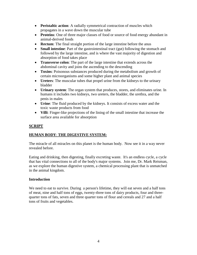- **Peristaltic action**: A radially symmetrical contraction of muscles which propagates in a wave down the muscular tube
- **Proteins**: One of three major classes of food or source of food energy abundant in animal-derived foods
- **Rectum:** The final straight portion of the large intestine before the anus
- **Small intestine**: Part of the gastrointestinal tract (gut) following the stomach and followed by the large intestine, and is where the vast majority of digestion and absorption of food takes place
- **Transverse colon**: The part of the large intestine that extends across the abdominal cavity and joins the ascending to the descending
- **Toxins**: Poisonous substances produced during the metabolism and growth of certain microorganisms and some higher plant and animal species
- **Ureters**: The muscular tubes that propel urine from the kidneys to the urinary bladder
- **Urinary system**: The organ system that produces, stores, and eliminates urine. In humans it includes two kidneys, two ureters, the bladder, the urethra, and the penis in males
- **Urine**: The fluid produced by the kidneys. It consists of excess water and the toxic waste products from food
- **Villi**: Finger-like projections of the lining of the small intestine that increase the surface area available for absorption

# **SCRIPT**

# **HUMAN BODY**: **THE DIGESTIVE SYSTEM:**

The miracle of all miracles on this planet is the human body. Now see it in a way never revealed before.

Eating and drinking, then digesting, finally excreting waste. It's an endless cycle, a cycle that has vital connections to all of the body's major systems. Join me, Dr. Mark Reisman, as we explore the human digestive system, a chemical processing plant that is unmatched in the animal kingdom.

# **Introduction**

We need to eat to survive. During a person's lifetime, they will eat seven and a half tons of meat, nine and half tons of eggs, twenty-three tons of dairy products, four and threequarter tons of fats, seven and three quarter tons of flour and cereals and 27 and a half tons of fruits and vegetables.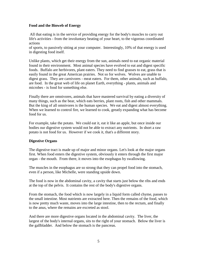#### **Food and the Bioweb of Energy**

All that eating is in the service of providing energy for the body's muscles to carry out life's activities - from the involuntary beating of your heart, to the vigorous coordinated actions

of sports, to passively sitting at your computer. Interestingly, 10% of that energy is used in digesting food itself.

Unlike plants, which get their energy from the sun, animals need to eat organic material found in their environment. Most animal species have evolved to eat and digest specific foods. Buffalo are herbivores, plant eaters. They need to find grasses to eat, grass that is easily found in the great American prairies. Not so for wolves. Wolves are unable to digest grass. They are carnivores - meat eaters. For them, other animals, such as buffalo, are food. In the great web of life on planet Earth, everything - plants, animals and microbes - is food for something else.

Finally there are omnivores, animals that have mastered survival by eating a diversity of many things, such as the bear, which eats berries, plant roots, fish and other mammals. But the king of all omnivores is the human species. We eat and digest almost everything. When we learned to control fire, we learned to cook, greatly expanding what has become food for us.

For example, take the potato. We could eat it, eat it like an apple, but once inside our bodies our digestive system would not be able to extract any nutrients. In short a raw potato is not food for us. However if we cook it, that's a different story.

#### **Digestive Organs**

The digestive tract is made up of major and minor organs. Let's look at the major organs first. When food enters the digestive system, obviously it enters through the first major organ - the mouth. From there, it moves into the esophagus by swallowing.

The muscles in the esophagus are so strong that they can propel food into the stomach, even if a person, like Michelle, were standing upside down.

The food is now in the abdominal cavity, a cavity that starts just below the ribs and ends at the top of the pelvis. It contains the rest of the body's digestive organs.

From the stomach, the food which is now largely in a liquid form called chyme, passes to the small intestine. Most nutrients are extracted here. Then the remains of the food, which is now pretty much waste, moves into the large intestine, then to the rectum, and finally to the anus, where the remains are excreted as stool.

And there are more digestive organs located in the abdominal cavity. The liver, the largest of the body's internal organs, sits to the right of your stomach. Below the liver is the gallbladder. And below the stomach is the pancreas.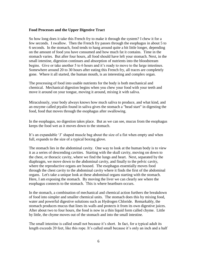#### **Food Processes and the Upper Digestive Tract**

So how long does it take this French fry to make it through the system? I chew it for a few seconds. I swallow. Then the French fry passes through the esophagus in about 5 to 6 seconds. In the stomach, food tends to hang around quite a bit little longer, depending on the amount of food you have consumed and how much fat it contains. Time in the stomach varies. But after four hours, all food should have left your stomach. Next, in the small intestine, digestion continues and absorption of nutrients into the bloodstream begins. Give or take another 5 to 6 hours and it's ready to move to the large intestines. Somewhere around 20 to 30 hours after eating this French fry, all traces are completely gone. Where it all started, the human mouth, is an interesting and complex organ.

The processing of food into usable nutrients for the body is both mechanical and chemical. Mechanical digestion begins when you chew your food with your teeth and move it around on your tongue, moving it around, mixing it with saliva.

Miraculously, your body always knows how much saliva to produce, and what kind, and an enzyme called ptyalin found in saliva gives the stomach a "head start" in digesting the food, food that moves through the esophagus after swallowing.

In the esophagus, no digestion takes place. But as we can see, mucus from the esophagus keeps the food wet as it moves down to the stomach.

It's an expandable 'J' shaped muscle bag about the size of a fist when empty and when full, expands to the size of a typical boxing glove.

The stomach lies in the abdominal cavity. One way to look at the human body is to view it as a series of descending cavities. Starting with the skull cavity, moving on down to the chest, or thoracic cavity, where we find the lungs and heart. Next, separated by the diaphragm, we move down to the abdominal cavity, and finally to the pelvic cavity, where the reproductive organs are housed. The esophagus essentially moves food through the chest cavity to the abdominal cavity where it finds the first of the abdominal organs. Let's take a unique look at these abdominal organs starting with the stomach. Here, I am exposing the stomach. By moving the liver we can clearly see where the esophagus connects to the stomach. This is where heartburn occurs.

In the stomach, a combination of mechanical and chemical action furthers the breakdown of food into simpler and smaller chemical units. The stomach does this by mixing food, water and powerful digestive solutions such as Hydrogen Chloride. Remarkably, the stomach produces mucus that lines its walls and protects it from its own digestive juices. After about two to four hours, the food is now in a thin liquid form called chyme. Little by little, the chyme moves out of the stomach and into the small intestine.

The small intestine is called small not because it's short. In fact, for a typical adult its length exceeds 20 feet, like this rope. It's called small because it's only an inch and a half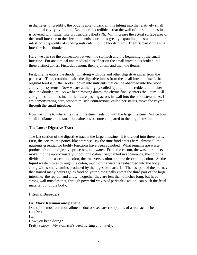in diameter. Incredibly, the body is able to pack all this tubing into the relatively small abdominal cavity by folding. Even more incredible is that the wall of the small intestine is covered with finger like protrusions called *villi*. *Villi* increase the actual surface area of the small intestine to the size of a tennis court, thus greatly expanding the small intestine's capability of sending nutrients into the bloodstream. The first part of the small intestine is the duodenum.

Here, we can see the connection between the stomach and the beginning of the small intestine. For anatomical and medical classification the small intestine is broken into three distinct zones: First, duodenum, then jejunum, and then the ileum.

First, chyme enters the duodenum along with bile and other digestive juices from the pancreas. Then, combined with the digestive juices from the small intestine itself, the original food is further broken down into nutrients that can be absorbed into the blood and lymph systems. Now we are at the highly coiled jejunum. It is redder and thicker than the duodenum. As we keep moving down, the chyme finally enters the ileum. All along the small intestine nutrients are passing across its wall into the bloodstream. As I am demonstrating here, smooth muscle contractions, called peristalsis, move the chyme through the small intestine.

Now we come to where the small intestine meets up with the large intestine. Notice how small in diameter the small intestine has become compared to the large intestine.

# **The Lower Digestive Tract**

The last section of the digestive tract is the large intestine. It is divided into three parts. First, the cecum, the pouch-like entrance. By the time food enters here, almost all the nutrients essential for bodily functions have been absorbed. What remains are waste products from the digestive processes, and water. From the cecum, the waste products move into the approximately 5 foot long colon. Segmented in appearance, the colon is divided into the ascending colon, the transverse colon, and the descending colon. As the liquid waste moves through the colon, much of the water is reabsorbed into the body along with some vitamins produced by the digestive bacteria. The last part of the journey that started many hours ago as food on your plate finally enters the third part of the large intestine: the rectum and anus. Together they are less than 6 inches long, but have strong wall muscles that, through powerful waves of peristaltic action, can push the fecal material out of the body.

# **Internal Disorders**

# **Dr. Mark Reisman and patient**

One of the most common ailments doctors see, are complaints of a stomach ache. Hi Chris. Hi. How you been doing? Pretty crappy. My stomach's been hurting a lot lately.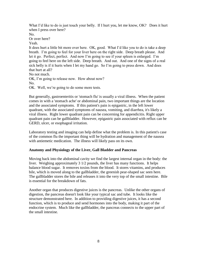What I'd like to do is just touch your belly. If I hurt you, let me know, OK? Does it hurt when I press over here?

No.

Or over here?

Yeah.

It does hurt a little bit more over here. OK, good. What I'd like you to do is take a deep breath. I'm going to feel for your liver here on the right side. Deep breath please. And let it go. Perfect, perfect. And now I'm going to see if your spleen is enlarged. I'm going to feel here on the left side. Deep breath. And out. And one of the signs of a real sick belly is if it hurts when I let my hand go. So I'm going to press down. And does that hurt at all?

No not much. OK, I'm going to release now. How about now? No. OK. Well, we're going to do some more tests.

But generally, gastroenteritis or 'stomach flu' is usually a viral illness. When the patient comes in with a 'stomach ache' or abdominal pain, two important things are the location and the associated symptoms. If this patient's pain is epigastric, in the left lower quadrant, with the associated symptoms of nausea, vomiting, and diarrhea, it's likely a viral illness. Right lower quadrant pain can be concerning for appendicitis. Right upper quadrant pain can be gallbladder. However, epigastric pain associated with reflux can be GERD, ulcer, or esophageal irritation.

Laboratory testing and imaging can help define what the problem is. In this patient's case of the common flu the important thing will be hydration and management of the nausea with antiemetic medication. The illness will likely pass on its own.

# **Anatomy and Physiology of the Liver, Gall Bladder and Pancreas**

Moving back into the abdominal cavity we find the largest internal organ in the body: the liver. Weighing approximately 3 1/2 pounds, the liver has many functions. It helps balance blood sugar. It removes toxins from the blood. It stores vitamins, and produces bile, which is moved along to the gallbladder, the greenish pear-shaped sac seen here. The gallbladder stores the bile and releases it into the very top of the small intestine. Bile is essential for the breakdown of fats.

Another organ that produces digestive juices is the pancreas. Unlike the other organs of digestion, the pancreas doesn't look like your typical sac and tube. It looks like the structure demonstrated here. In addition to providing digestive juices, it has a second function, which is to produce and send hormones into the body, making it part of the endocrine system. Much like the gallbladder, the pancreas connects to the upper part of the small intestine.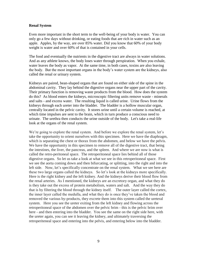#### **Renal System**

Even more important in the short term to the well-being of your body is water. You can only go a few days without drinking, or eating foods that are rich in water such as an apple. Apples, by the way, are over 85% water. Did you know that 60% of your body weight is water and over 60% of that is contained in your cells.

The food and eventually the nutrients in the digestive tract are always in water solutions. And as any athlete knows, the body loses water through perspiration. When you exhale, water leaves the body as vapor. At the same time, in both cases, toxins are also leaving the body. But the most important organs in the body's water system are the kidneys, also called the renal or urinary system.

Kidneys are paired, bean-shaped organs that are found on either side of the spine in the abdominal cavity. They lay behind the digestive organs near the upper part of the cavity. Their primary function is removing waste products from the blood. How does the system do this? As blood enters the kidneys, microscopic filtering units remove waste - minerals and salts - and excess water. The resulting liquid is called urine. Urine flows from the kidneys through each ureter into the bladder. The bladder is a hollow muscular organ, centrally located in the pelvic cavity. It stores urine until a certain volume is reached, at which time impulses are sent to the brain, which in turn produce a conscious need to urinate. The urethra then conducts the urine outside of the body. Let's take a real-life look at the organs of the renal system.

We're going to explore the renal system. And before we explore the renal system, let's take the opportunity to orient ourselves with this specimen. Here we have the diaphragm, which is separating the chest or thorax from the abdomen, and below we have the pelvis. We have the opportunity in this specimen to remove all of the digestive tract, that being the intestines, the liver, the pancreas, and the spleen. And where we are now is what is called the retro-peritoneal space. The retroperitoneal space lies behind all of those digestive organs. So let us take a look at what we see in this retroperitoneal space. First we see the aorta coming down and then bifurcating, or splitting, into the right and into the left side. Now, let's specifically concentrate on the renal system. What we see here are these two large organs called the kidneys. So let's look at the kidneys more specifically. Here is the right kidney and the left kidney. And the kidneys derive their blood flow from the renal arteries. As I mentioned, the kidneys are an excretory organ, and what they do is they take out the excess of protein metabolism, waters and salt. And the way they do that is by filtering the blood through the kidney itself. The outer layer called the cortex, the inner layer called the medulla, and what they do is once they've taken the blood and removed the various by-products, they excrete them into this system called the ureteral system. Here you see the ureter exiting from the left kidney and flowing across the retroperitoneal space of the abdomen over the pelvic brim - this is the pelvic brim over here - and then entering into the bladder. You see the same on the right side here, with the ureter again, you can see it leaving the kidney, and ultimately traversing the retroperiteneal space and entering into the pelvis, and entering below into the bladder.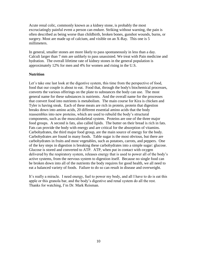Acute renal colic, commonly known as a kidney stone, is probably the most excruciatingly painful event a person can endure. Striking without warning, the pain is often described as being worse than childbirth, broken bones, gunshot wounds, burns, or surgery. Most are made up of calcium, and visible on an X-Ray. This one is 5 millimeters.

In general, smaller stones are more likely to pass spontaneously in less than a day. Calculi larger than 7 mm are unlikely to pass unassisted. We treat with Pain medicine and hydration. The overall lifetime rate of kidney stones in the general population is approximately 12% for men and 4% for women and rising in the U.S.

# **Nutrition**

Let's take one last look at the digestive system, this time from the perspective of food, food that our couple is about to eat. Food that, through the body's biochemical processes, converts the various offerings on the plate to substances the body can use. The most general name for these substances is nutrients. And the overall name for the processes that convert food into nutrients is metabolism. The main course for Kira is chicken and Tyler is having steak. Each of these meats are rich in protein, protein that digestion breaks down into amino acids, 20 different essential amino acids that the body reassembles into new proteins, which are used to rebuild the body's structural components, such as the musculoskeletal system. Proteins are one of the three major food groups. A second is fats, also called lipids. The butter on their bread is rich in fats. Fats can provide the body with energy and are critical for the absorption of vitamins. Carbohydrates, the third major food group, are the main source of energy for the body. Carbohydrates are found in many foods. Table sugar is the most obvious, but there are carbohydrates in fruits and most vegetables, such as potatoes, carrots, and peppers. One of the key steps in digestion is breaking these carbohydrates into a simple sugar: glucose. Glucose is stored and converted to ATP. ATP, when put in contact with oxygen delivered by the respiratory system, releases energy that is used to power all of the body's active systems, from the nervous system to digestion itself. Because no single food can be broken down into all of the nutrients the body requires for good health, we all need to eat a balanced variety of foods. Failure to do so can result in disease and overweight.

It's really a miracle. I need energy, fuel to power my body, and all I have to do is eat this apple or this granola bar, and the body's digestive and renal system do all the rest. Thanks for watching, I'm Dr. Mark Reisman.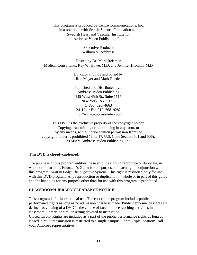This program is produced by Centre Communications, Inc. in association with Seattle Science Foundation and Swedish Heart and Vascular Institute for Ambrose Video Publishing, Inc.

> Executive Producer William V. Ambrose

Hosted by Dr. Mark Reisman Medical Consultants: Ray W. Howe, M.D. and Jennifer Hronkin, M.D

> Educator's Guide and Script by Ron Meyer and Mark Reeder

> Published and Distributed by... Ambrose Video Publishing 145 West 45th St., Suite 1115 New York, NY 10036 1–800–526–4663 24–Hour Fax 212–768–9282 http://www.ambrosevideo.com

This DVD is the exclusive property of the copyright holder, Copying, transmitting or reproducing in any form, or by any means, without prior written permission from the copyright holder is prohibited (Title 17, U.S. Code Section 501 and 506). (c) MMV Ambrose Video Publishing, Inc.

#### **This DVD is closed–captioned.**

The purchase of this program entitles the user to the right to reproduce or duplicate, in whole or in part, this Educator's Guide for the purpose of teaching in conjunction with this program, *Human Body*: *The Digestive System*. This right is restricted only for use with this DVD program. Any reproduction or duplication in whole or in part of this guide and the handouts for any purpose other than for use with this program is prohibited.

### **CLASSROOM/LIBRARY CLEARANCE NOTICE**

This program is for instructional use. The cost of the program includes public performance rights as long as no admission charge is made. Public performance rights are defined as viewing of a DVD in the course of face–to–face teaching activities in a classroom, library, or similar setting devoted to instruction.

Closed Circuit Rights are included as a part of the public performance rights as long as closed–circuit transmission is restricted to a single campus. For multiple locations, call your Ambrose representative.